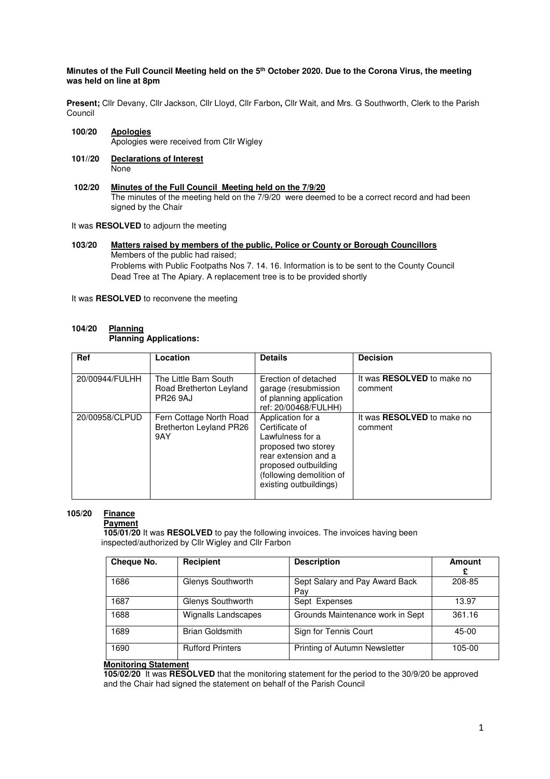## **Minutes of the Full Council Meeting held on the 5th October 2020. Due to the Corona Virus, the meeting was held on line at 8pm**

**Present;** Cllr Devany, Cllr Jackson, Cllr Lloyd, Cllr Farbon**,** Cllr Wait, and Mrs. G Southworth, Clerk to the Parish Council

- **100/20 Apologies** Apologies were received from Cllr Wigley
- **101//20 Declarations of Interest None**
- **102/20 Minutes of the Full Council Meeting held on the 7/9/20** The minutes of the meeting held on the 7/9/20 were deemed to be a correct record and had been signed by the Chair
- It was **RESOLVED** to adjourn the meeting
- **103/20 Matters raised by members of the public, Police or County or Borough Councillors**  Members of the public had raised; Problems with Public Footpaths Nos 7. 14. 16. Information is to be sent to the County Council Dead Tree at The Apiary. A replacement tree is to be provided shortly

It was **RESOLVED** to reconvene the meeting

## 104/20 **Planning Planning Applications:**

| Ref            | Location                                                            | <b>Details</b>                                                                                                                                                                       | <b>Decision</b>                              |
|----------------|---------------------------------------------------------------------|--------------------------------------------------------------------------------------------------------------------------------------------------------------------------------------|----------------------------------------------|
| 20/00944/FULHH | The Little Barn South<br>Road Bretherton Leyland<br><b>PR26 9AJ</b> | Erection of detached<br>garage (resubmission<br>of planning application<br>ref: 20/00468/FULHH)                                                                                      | It was <b>RESOLVED</b> to make no<br>comment |
| 20/00958/CLPUD | Fern Cottage North Road<br>Bretherton Leyland PR26<br>9AY           | Application for a<br>Certificate of<br>Lawfulness for a<br>proposed two storey<br>rear extension and a<br>proposed outbuilding<br>(following demolition of<br>existing outbuildings) | It was <b>RESOLVED</b> to make no<br>comment |

## **105/20 Finance**

 **Payment** 

 **105/01/20** It was **RESOLVED** to pay the following invoices. The invoices having been inspected/authorized by Cllr Wigley and Cllr Farbon

| Cheque No. | Recipient                  | <b>Description</b>                    | Amount<br>£ |
|------------|----------------------------|---------------------------------------|-------------|
| 1686       | Glenys Southworth          | Sept Salary and Pay Award Back<br>Pay | 208-85      |
| 1687       | Glenys Southworth          | Sept Expenses                         | 13.97       |
| 1688       | <b>Wignalls Landscapes</b> | Grounds Maintenance work in Sept      | 361.16      |
| 1689       | <b>Brian Goldsmith</b>     | Sign for Tennis Court                 | 45-00       |
| 1690       | <b>Rufford Printers</b>    | Printing of Autumn Newsletter         | 105-00      |

## **Monitoring Statement**

 **105/02/20** It was **RESOLVED** that the monitoring statement for the period to the 30/9/20 be approved and the Chair had signed the statement on behalf of the Parish Council